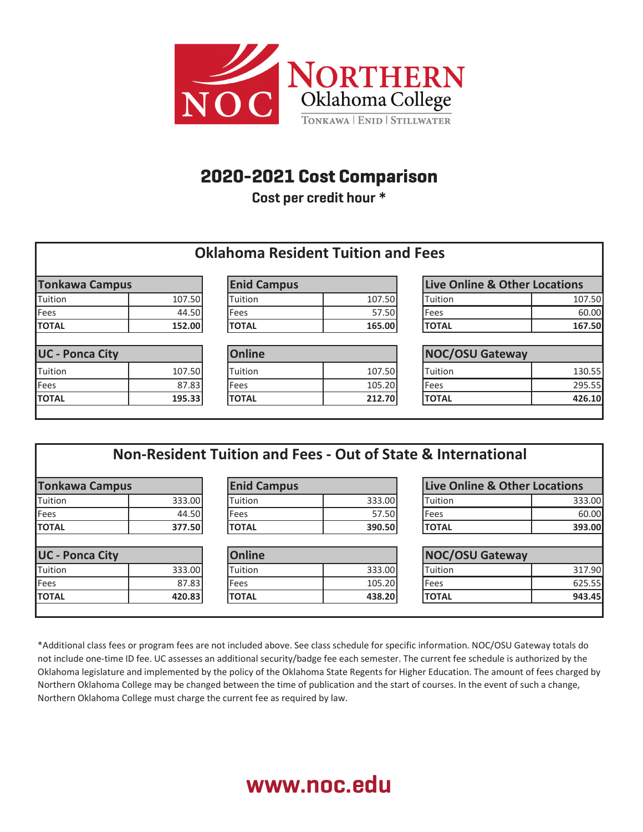

## **2020-2021 Cost Comparison Northern Oklahoma College**

**Cost per credit hour \* 2020-2021 Cost Comparison 2020** Cost per creatured mour

|                        |        |                    | <b>Oklahoma Resident Tuition and Fees</b> |                               |        |
|------------------------|--------|--------------------|-------------------------------------------|-------------------------------|--------|
| <b>Tonkawa Campus</b>  |        | <b>Enid Campus</b> |                                           | Live Online & Other Locations |        |
| Tuition                | 107.50 | Tuition            | 107.50                                    | Tuition                       | 107.50 |
| Fees                   | 44.50  | Fees               | 57.50                                     | Fees                          | 60.00  |
| <b>TOTAL</b>           | 152.00 | <b>TOTAL</b>       | 165.00                                    | <b>TOTAL</b>                  | 167.50 |
| <b>UC - Ponca City</b> |        | Online             |                                           | <b>NOC/OSU Gateway</b>        |        |
| <b>Tuition</b>         | 107.50 | Tuition            | 107.50                                    | Tuition                       | 130.55 |
| Fees                   | 87.83  | <b>Fees</b>        | 105.20                                    | <b>Fees</b>                   | 295.55 |
| <b>TOTAL</b>           | 195.33 | <b>TOTAL</b>       | 212.70                                    | <b>TOTAL</b>                  | 426.10 |

|                        |        |                    |        | Non-Resident Tuition and Fees - Out of State & International |        |
|------------------------|--------|--------------------|--------|--------------------------------------------------------------|--------|
| <b>Tonkawa Campus</b>  |        | <b>Enid Campus</b> |        | <b>Live Online &amp; Other Locations</b>                     |        |
| Tuition                | 333.00 | Tuition            | 333.00 | Tuition                                                      | 333.00 |
| Fees                   | 44.50  | Fees               | 57.50  | Fees                                                         | 60.00  |
| <b>TOTAL</b>           | 377.50 | <b>TOTAL</b>       | 390.50 | <b>TOTAL</b>                                                 | 393.00 |
| <b>UC - Ponca City</b> |        | Online             |        | <b>NOC/OSU Gateway</b>                                       |        |
| Tuition                | 333.00 | Tuition            | 333.00 | Tuition                                                      | 317.90 |
| Fees                   | 87.83  | Fees               | 105.20 | Fees                                                         | 625.55 |
| <b>TOTAL</b>           | 420.83 | <b>TOTAL</b>       | 438.20 | <b>TOTAL</b>                                                 | 943.45 |
|                        |        |                    |        |                                                              |        |

\*Additional class fees or program fees are not included above. See class schedule for specific information. NOC/OSU Gateway totals do not include one-time ID fee. UC assesses an additional security/badge fee each semester. The current fee schedule is authorized by the Oklahoma legislature and implemented by the policy of the Oklahoma State Regents for Higher Education. The amount of fees charged by Northern Oklahoma College may be changed between the time of publication and the start of courses. In the event of such a change, Northern Oklahoma College must charge the current fee as required by law.

# **www.noc.edu**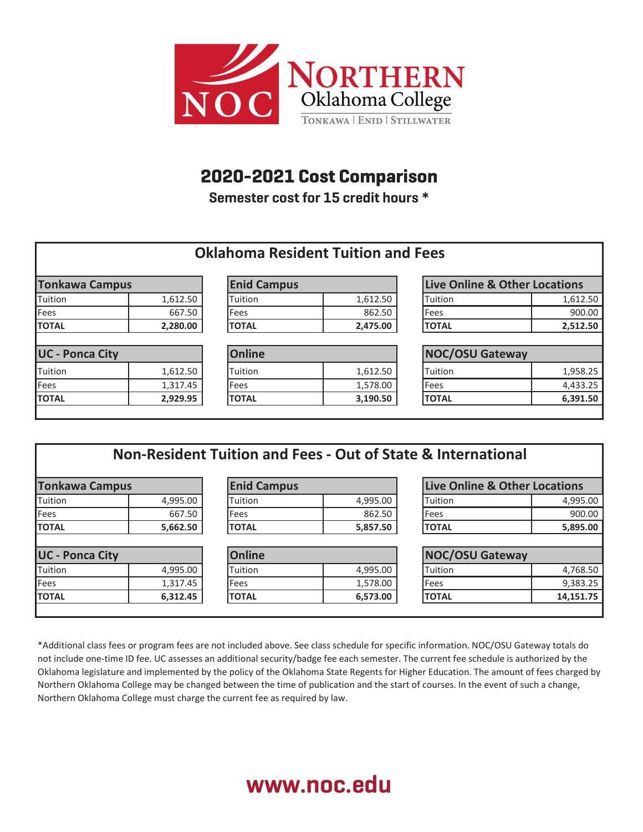

## **2020-2021 Cost Comparison Northern Oklahoma College**

**Semester cost for 15 credit hours \* 2020-2021 Cost Comparison 2020** COST TOF 15 Creat Cours<br>Interacts

|                        |          |                    | <b>Oklahoma Resident Tuition and Fees</b> |                               |          |
|------------------------|----------|--------------------|-------------------------------------------|-------------------------------|----------|
| <b>Tonkawa Campus</b>  |          | <b>Enid Campus</b> |                                           | Live Online & Other Locations |          |
| <b>Tuition</b>         | 1,612.50 | <b>Tuition</b>     | 1,612.50                                  | Tuition                       | 1,612.50 |
| Fees                   | 667.50   | <b>Fees</b>        | 862.50                                    | Fees                          | 900.00   |
| <b>TOTAL</b>           | 2,280.00 | <b>TOTAL</b>       | 2,475.00                                  | <b>TOTAL</b>                  | 2,512.50 |
| <b>UC - Ponca City</b> |          | Online             |                                           | <b>NOC/OSU Gateway</b>        |          |
| Tuition                | 1,612.50 | Tuition            | 1,612.50                                  | Tuition                       | 1,958.25 |
| Fees                   | 1,317.45 | Fees               | 1,578.00                                  | Fees                          | 4,433.25 |
| <b>TOTAL</b>           | 2,929.95 | <b>TOTAL</b>       | 3,190.50                                  | <b>TOTAL</b>                  | 6,391.50 |

| <b>Tonkawa Campus</b>  |          | <b>Enid Campus</b> |          | Live Online & Other Locations |           |
|------------------------|----------|--------------------|----------|-------------------------------|-----------|
| Tuition                | 4,995.00 | Tuition            | 4,995.00 | Tuition                       | 4,995.00  |
| Fees                   | 667.50   | Fees               | 862.50   | Fees                          | 900.00    |
| <b>TOTAL</b>           | 5,662.50 | <b>TOTAL</b>       | 5,857.50 | <b>TOTAL</b>                  | 5,895.00  |
| <b>UC - Ponca City</b> |          | <b>Online</b>      |          | <b>NOC/OSU Gateway</b>        |           |
| Tuition                | 4,995.00 | Tuition            | 4,995.00 | Tuition                       | 4,768.50  |
| Fees                   | 1,317.45 | Fees               | 1,578.00 | <b>Fees</b>                   | 9,383.25  |
| <b>TOTAL</b>           | 6,312.45 | <b>TOTAL</b>       | 6,573.00 | <b>TOTAL</b>                  | 14,151.75 |

\*Additional class fees or program fees are not included above. See class schedule for specific information. NOC/OSU Gateway totals do not include one-time ID fee. UC assesses an additional security/badge fee each semester. The current fee schedule is authorized by the Oklahoma legislature and implemented by the policy of the Oklahoma State Regents for Higher Education. The amount of fees charged by Northern Oklahoma College may be changed between the time of publication and the start of courses. In the event of such a change, Northern Oklahoma College must charge the current fee as required by law.

# **www.noc.edu**